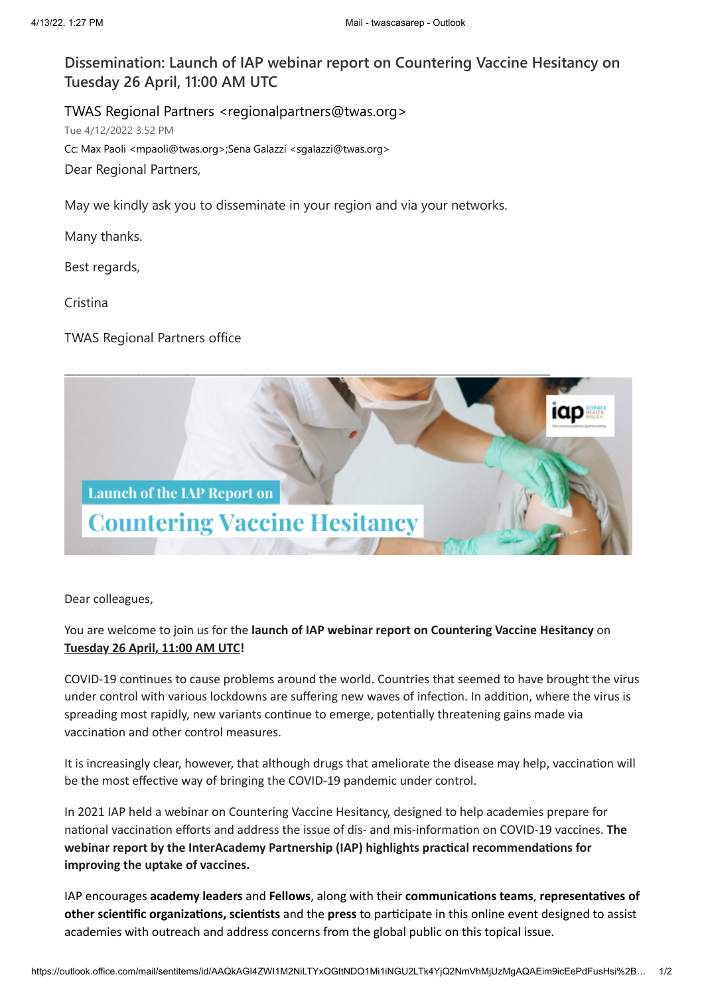## **Dissemination: Launch of IAP webinar report on Countering Vaccine Hesitancy on Tuesday 26 April, 11:00 AM UTC**

TWAS Regional Partners <regionalpartners@twas.org> Tue 4/12/2022 3:52 PM Cc: Max Paoli <mpaoli@twas.org>;Sena Galazzi <sgalazzi@twas.org> Dear Regional Partners,

May we kindly ask you to disseminate in your region and via your networks.

Many thanks.

Best regards,

Cristina

TWAS Regional Partners office



Dear colleagues,

## You are welcome to join us for the **launch of IAP webinar report on Countering Vaccine Hesitancy** on **Tuesday 26 April, 11:00 AM UTC!**

COVID-19 continues to cause problems around the world. Countries that seemed to have brought the virus under control with various lockdowns are suffering new waves of infection. In addition, where the virus is spreading most rapidly, new variants continue to emerge, potentially threatening gains made via vaccination and other control measures.

It is increasingly clear, however, that although drugs that ameliorate the disease may help, vaccination will be the most effective way of bringing the COVID-19 pandemic under control.

In 2021 IAP held a webinar on Countering Vaccine Hesitancy, designed to help academies prepare for national vaccination efforts and address the issue of dis- and mis-information on COVID-19 vaccines. **The webinar report by the InterAcademy Partnership (IAP) highlights practical recommendations for improving the uptake of vaccines.**

IAP encourages **academy leaders** and **Fellows**, along with their **communications teams**, **representatives of other scientific organizations, scientists** and the **press** to participate in this online event designed to assist academies with outreach and address concerns from the global public on this topical issue.